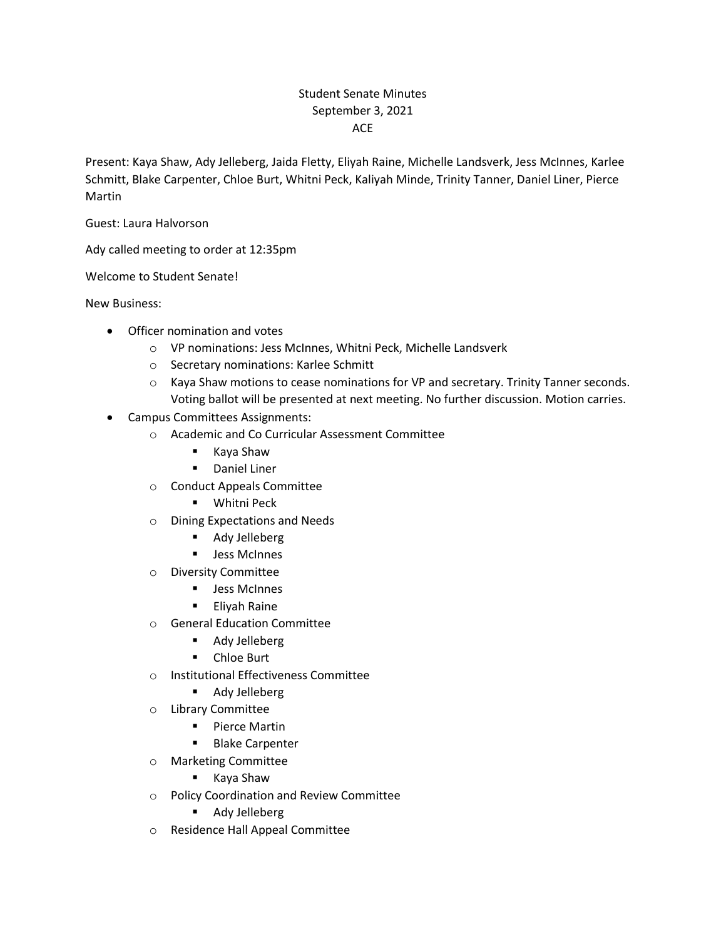## Student Senate Minutes September 3, 2021 ACE

Present: Kaya Shaw, Ady Jelleberg, Jaida Fletty, Eliyah Raine, Michelle Landsverk, Jess McInnes, Karlee Schmitt, Blake Carpenter, Chloe Burt, Whitni Peck, Kaliyah Minde, Trinity Tanner, Daniel Liner, Pierce Martin

Guest: Laura Halvorson

Ady called meeting to order at 12:35pm

Welcome to Student Senate!

New Business:

- Officer nomination and votes
	- o VP nominations: Jess McInnes, Whitni Peck, Michelle Landsverk
	- o Secretary nominations: Karlee Schmitt
	- o Kaya Shaw motions to cease nominations for VP and secretary. Trinity Tanner seconds. Voting ballot will be presented at next meeting. No further discussion. Motion carries.
- Campus Committees Assignments:
	- o Academic and Co Curricular Assessment Committee
		- Kaya Shaw
		- Daniel Liner
	- o Conduct Appeals Committee
		- Whitni Peck
	- o Dining Expectations and Needs
		- Ady Jelleberg
		- Jess McInnes
	- o Diversity Committee
		- Jess McInnes
		- Eliyah Raine
	- o General Education Committee
		- Ady Jelleberg
		- Chloe Burt
	- o Institutional Effectiveness Committee
		- Ady Jelleberg
	- o Library Committee
		- Pierce Martin
		- Blake Carpenter
	- o Marketing Committee
		- Kaya Shaw
	- o Policy Coordination and Review Committee
		- Ady Jelleberg
	- o Residence Hall Appeal Committee